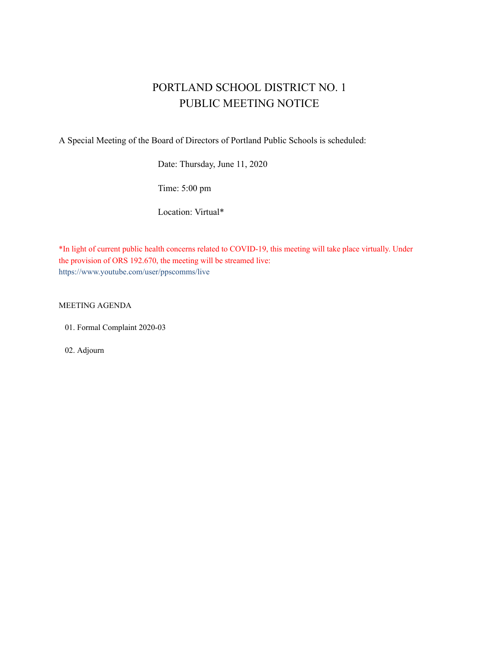# PORTLAND SCHOOL DISTRICT NO. 1 PUBLIC MEETING NOTICE

A Special Meeting of the Board of Directors of Portland Public Schools is scheduled:

Date: Thursday, June 11, 2020

Time: 5:00 pm

Location: Virtual\*

\*In light of current public health concerns related to COVID-19, this meeting will take place virtually. Under the provision of ORS 192.670, the meeting will be streamed live: https://www.youtube.com/user/ppscomms/live

MEETING AGENDA

01. Formal Complaint 2020-03

02. Adjourn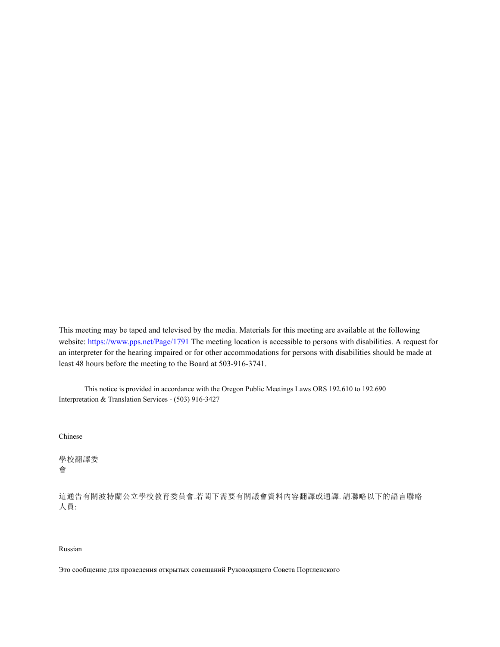This meeting may be taped and televised by the media. Materials for this meeting are available at the following website: https://www.pps.net/Page/1791 The meeting location is accessible to persons with disabilities. A request for an interpreter for the hearing impaired or for other accommodations for persons with disabilities should be made at least 48 hours before the meeting to the Board at 503-916-3741.

This notice is provided in accordance with the Oregon Public Meetings Laws ORS 192.610 to 192.690 Interpretation & Translation Services - (503) 916-3427

Chinese

學校翻譯委 會

這通告有關波特蘭公立學校教育委員會.若閣下需要有關議會資料內容翻譯或通譯. 請聯略以下的語言聯略 人員:

## Russian

Это сообщение для проведения открытых совещаний Руководящего Совета Портленского